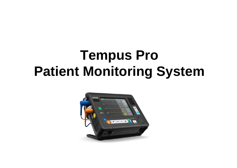# **Tempus Pro Patient Monitoring System**

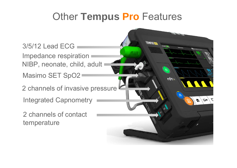## **Other Tempus Pro Features**

 $\mathscr{L}$ 

Masimo SET SpO2 NIBP, neonate, child, adult 3/5/12 Lead ECGImpedance respiration

2 channels of invasive pressure

Integrated Capnometry

2 channels of contact temperature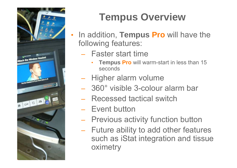

# **Tempus Overview**

- • In addition, **Tempus Pro** will have the following features:
	- Faster start time
		- • **Tempus Pro** will warm-start in less than 15 seconds
	- Higher alarm volume
	- ‒ 360° visible 3-colour alarm bar
	- Recessed tactical switch
	- ‒ Event button
	- Previous activity function button
	- Future ability to add other features such as iStat integration and tissue oximetry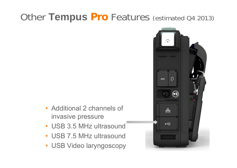## Other **Tempus Pro** Features (estimated Q4 2013)

- Additional 2 channels of invasive pressure
- USB 3.5 MHz ultrasound
- USB 7.5 MHz ultrasound
- USB Video laryngoscopy

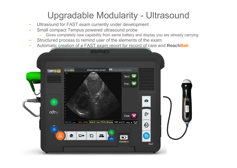#### Upgradable Modularity - Ultrasound

- •Ultrasound for FAST exam currently under development
- • Small compact Tempus powered ultrasound probe
	- Gives completely new capability from same battery and display you are already carrying
- •Structured process to remind user of the elements of the exam
- •Automatic creation of a FAST exam report for record of care and **ReachBak**